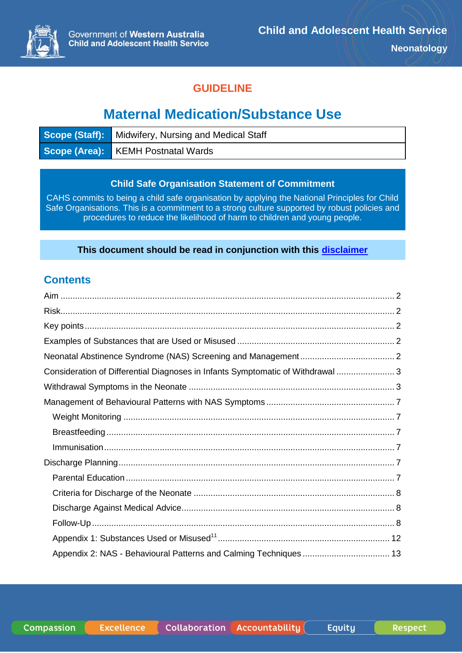

### **GUIDELINE**

# **Maternal Medication/Substance Use**

| <b>Scope (Staff):</b> Midwifery, Nursing and Medical Staff |
|------------------------------------------------------------|
| Scope (Area): KEMH Postnatal Wards                         |

#### **Child Safe Organisation Statement of Commitment**

CAHS commits to being a child safe organisation by applying the National Principles for Child Safe Organisations. This is a commitment to a strong culture supported by robust policies and procedures to reduce the likelihood of harm to children and young people.

#### **This document should be read in conjunction with this [disclaimer](https://www.cahs.health.wa.gov.au/For-health-professionals/Resources/CAHS-Clinical-Disclaimer)**

### **Contents**

| Consideration of Differential Diagnoses in Infants Symptomatic of Withdrawal  3 |  |
|---------------------------------------------------------------------------------|--|
|                                                                                 |  |
|                                                                                 |  |
|                                                                                 |  |
|                                                                                 |  |
|                                                                                 |  |
|                                                                                 |  |
|                                                                                 |  |
|                                                                                 |  |
|                                                                                 |  |
|                                                                                 |  |
|                                                                                 |  |
|                                                                                 |  |

**Compassion**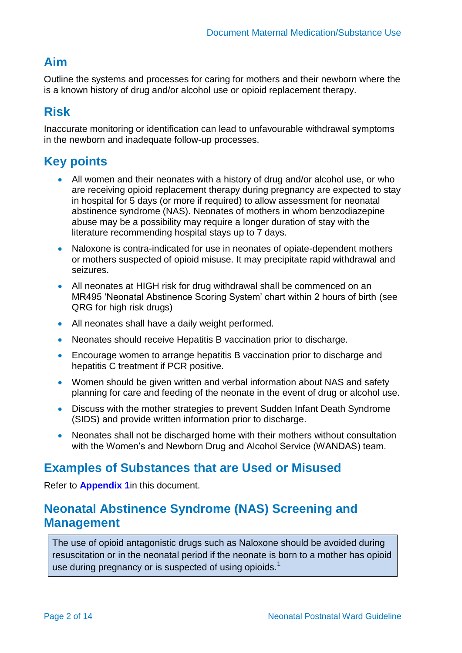### <span id="page-1-0"></span>**Aim**

Outline the systems and processes for caring for mothers and their newborn where the is a known history of drug and/or alcohol use or opioid replacement therapy.

## <span id="page-1-1"></span>**Risk**

Inaccurate monitoring or identification can lead to unfavourable withdrawal symptoms in the newborn and inadequate follow-up processes.

# <span id="page-1-2"></span>**Key points**

- All women and their neonates with a history of drug and/or alcohol use, or who are receiving opioid replacement therapy during pregnancy are expected to stay in hospital for 5 days (or more if required) to allow assessment for neonatal abstinence syndrome (NAS). Neonates of mothers in whom benzodiazepine abuse may be a possibility may require a longer duration of stay with the literature recommending hospital stays up to 7 days.
- Naloxone is contra-indicated for use in neonates of opiate-dependent mothers or mothers suspected of opioid misuse. It may precipitate rapid withdrawal and seizures.
- All neonates at HIGH risk for drug withdrawal shall be commenced on an MR495 'Neonatal Abstinence Scoring System' chart within 2 hours of birth (see QRG for high risk drugs)
- All neonates shall have a daily weight performed.
- Neonates should receive Hepatitis B vaccination prior to discharge.
- Encourage women to arrange hepatitis B vaccination prior to discharge and hepatitis C treatment if PCR positive.
- Women should be given written and verbal information about NAS and safety planning for care and feeding of the neonate in the event of drug or alcohol use.
- Discuss with the mother strategies to prevent Sudden Infant Death Syndrome (SIDS) and provide written information prior to discharge.
- Neonates shall not be discharged home with their mothers without consultation with the Women's and Newborn Drug and Alcohol Service (WANDAS) team.

### <span id="page-1-3"></span>**Examples of Substances that are Used or Misused**

Refer to **[Appendix 1](#page-11-0)**in this document.

### <span id="page-1-4"></span>**Neonatal Abstinence Syndrome (NAS) Screening and Management**

The use of opioid antagonistic drugs such as Naloxone should be avoided during resuscitation or in the neonatal period if the neonate is born to a mother has opioid use during pregnancy or is suspected of using opioids.<sup>[1](#page-9-0)</sup>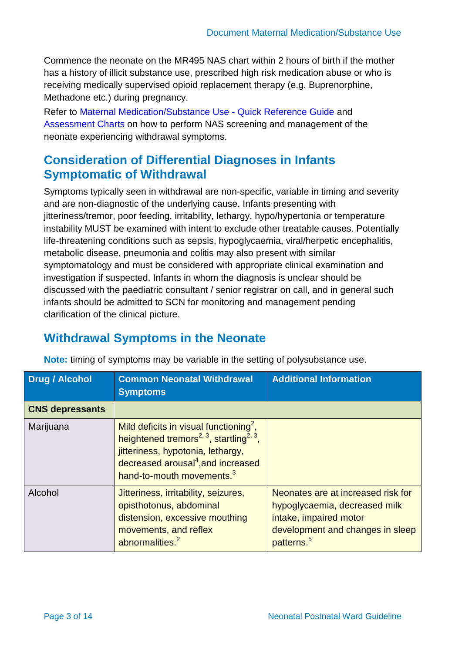Commence the neonate on the MR495 NAS chart within 2 hours of birth if the mother has a history of illicit substance use, prescribed high risk medication abuse or who is receiving medically supervised opioid replacement therapy (e.g. Buprenorphine, Methadone etc.) during pregnancy.

Refer to [Maternal Medication/Substance Use -](https://healthpoint.hdwa.health.wa.gov.au/policies/Policies/CAHS/CAHS.NEOPN.MaternalMedicationSubstanceUseQuickReferenceGuide.pdf) Quick Reference Guide and [Assessment Charts](https://healthpoint.hdwa.health.wa.gov.au/policies/Policies/CAHS/CAHS.NEOPN.MaternalMedicationSubstanceUseAssessmentCharts.pdf) on how to perform NAS screening and management of the neonate experiencing withdrawal symptoms.

## <span id="page-2-0"></span>**Consideration of Differential Diagnoses in Infants Symptomatic of Withdrawal**

Symptoms typically seen in withdrawal are non-specific, variable in timing and severity and are non-diagnostic of the underlying cause. Infants presenting with jitteriness/tremor, poor feeding, irritability, lethargy, hypo/hypertonia or temperature instability MUST be examined with intent to exclude other treatable causes. Potentially life-threatening conditions such as sepsis, hypoglycaemia, viral/herpetic encephalitis, metabolic disease, pneumonia and colitis may also present with similar symptomatology and must be considered with appropriate clinical examination and investigation if suspected. Infants in whom the diagnosis is unclear should be discussed with the paediatric consultant / senior registrar on call, and in general such infants should be admitted to SCN for monitoring and management pending clarification of the clinical picture.

## <span id="page-2-1"></span>**Withdrawal Symptoms in the Neonate**

| <b>Drug / Alcohol</b>  | <b>Common Neonatal Withdrawal</b><br><b>Symptoms</b>                                                                                                                                                                                                   | <b>Additional Information</b>                                                                                                                               |
|------------------------|--------------------------------------------------------------------------------------------------------------------------------------------------------------------------------------------------------------------------------------------------------|-------------------------------------------------------------------------------------------------------------------------------------------------------------|
| <b>CNS depressants</b> |                                                                                                                                                                                                                                                        |                                                                                                                                                             |
| Marijuana              | Mild deficits in visual functioning <sup>2</sup> ,<br>heightened tremors <sup>2, 3</sup> , startling <sup>2, 3</sup> ,<br>jitteriness, hypotonia, lethargy,<br>decreased arousal <sup>4</sup> , and increased<br>hand-to-mouth movements. <sup>3</sup> |                                                                                                                                                             |
| Alcohol                | Jitteriness, irritability, seizures,<br>opisthotonus, abdominal<br>distension, excessive mouthing<br>movements, and reflex<br>abnormalities. <sup>2</sup>                                                                                              | Neonates are at increased risk for<br>hypoglycaemia, decreased milk<br>intake, impaired motor<br>development and changes in sleep<br>patterns. <sup>5</sup> |

**Note:** timing of symptoms may be variable in the setting of polysubstance use.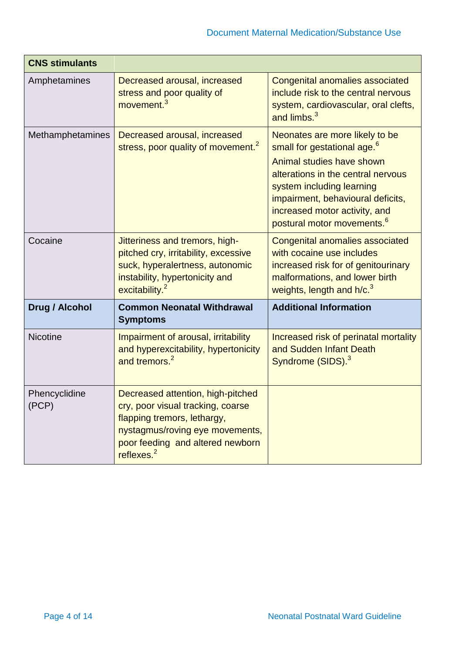| <b>CNS stimulants</b>   |                                                                                                                                                                                               |                                                                                                                                                                                                                                                                                           |
|-------------------------|-----------------------------------------------------------------------------------------------------------------------------------------------------------------------------------------------|-------------------------------------------------------------------------------------------------------------------------------------------------------------------------------------------------------------------------------------------------------------------------------------------|
| Amphetamines            | Decreased arousal, increased<br>stress and poor quality of<br>movement. <sup>3</sup>                                                                                                          | <b>Congenital anomalies associated</b><br>include risk to the central nervous<br>system, cardiovascular, oral clefts,<br>and limbs. <sup>3</sup>                                                                                                                                          |
| <b>Methamphetamines</b> | Decreased arousal, increased<br>stress, poor quality of movement. <sup>2</sup>                                                                                                                | Neonates are more likely to be<br>small for gestational age. <sup>6</sup><br>Animal studies have shown<br>alterations in the central nervous<br>system including learning<br>impairment, behavioural deficits,<br>increased motor activity, and<br>postural motor movements. <sup>6</sup> |
| Cocaine                 | Jitteriness and tremors, high-<br>pitched cry, irritability, excessive<br>suck, hyperalertness, autonomic<br>instability, hypertonicity and<br>excitability. <sup>2</sup>                     | <b>Congenital anomalies associated</b><br>with cocaine use includes<br>increased risk for of genitourinary<br>malformations, and lower birth<br>weights, length and h/c. <sup>3</sup>                                                                                                     |
| <b>Drug / Alcohol</b>   | <b>Common Neonatal Withdrawal</b><br><b>Symptoms</b>                                                                                                                                          | <b>Additional Information</b>                                                                                                                                                                                                                                                             |
| <b>Nicotine</b>         | Impairment of arousal, irritability<br>and hyperexcitability, hypertonicity<br>and tremors. <sup>2</sup>                                                                                      | Increased risk of perinatal mortality<br>and Sudden Infant Death<br>Syndrome (SIDS). <sup>3</sup>                                                                                                                                                                                         |
| Phencyclidine<br>(PCP)  | Decreased attention, high-pitched<br>cry, poor visual tracking, coarse<br>flapping tremors, lethargy,<br>nystagmus/roving eye movements,<br>poor feeding and altered newborn<br>reflexes. $2$ |                                                                                                                                                                                                                                                                                           |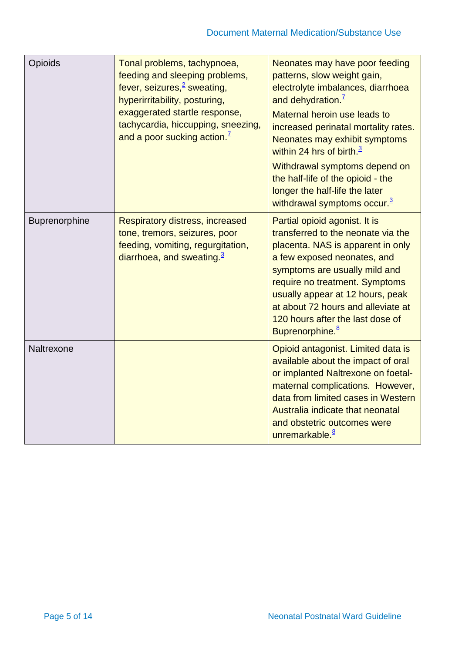| Opioids       | Tonal problems, tachypnoea,<br>feeding and sleeping problems,<br>fever, seizures, <sup>2</sup> sweating,<br>hyperirritability, posturing,<br>exaggerated startle response,<br>tachycardia, hiccupping, sneezing,<br>and a poor sucking action. <sup>7</sup> | Neonates may have poor feeding<br>patterns, slow weight gain,<br>electrolyte imbalances, diarrhoea<br>and dehydration. <sup>7</sup><br>Maternal heroin use leads to<br>increased perinatal mortality rates.<br>Neonates may exhibit symptoms<br>within 24 hrs of birth. $3$<br>Withdrawal symptoms depend on<br>the half-life of the opioid - the<br>longer the half-life the later<br>withdrawal symptoms occur. $3$ |
|---------------|-------------------------------------------------------------------------------------------------------------------------------------------------------------------------------------------------------------------------------------------------------------|-----------------------------------------------------------------------------------------------------------------------------------------------------------------------------------------------------------------------------------------------------------------------------------------------------------------------------------------------------------------------------------------------------------------------|
| Buprenorphine | <b>Respiratory distress, increased</b><br>tone, tremors, seizures, poor<br>feeding, vomiting, regurgitation,<br>diarrhoea, and sweating. $3$                                                                                                                | Partial opioid agonist. It is<br>transferred to the neonate via the<br>placenta. NAS is apparent in only<br>a few exposed neonates, and<br>symptoms are usually mild and<br>require no treatment. Symptoms<br>usually appear at 12 hours, peak<br>at about 72 hours and alleviate at<br>120 hours after the last dose of<br>Buprenorphine. <sup>8</sup>                                                               |
| Naltrexone    |                                                                                                                                                                                                                                                             | Opioid antagonist. Limited data is<br>available about the impact of oral<br>or implanted Naltrexone on foetal-<br>maternal complications. However,<br>data from limited cases in Western<br>Australia indicate that neonatal<br>and obstetric outcomes were<br>unremarkable. <sup>8</sup>                                                                                                                             |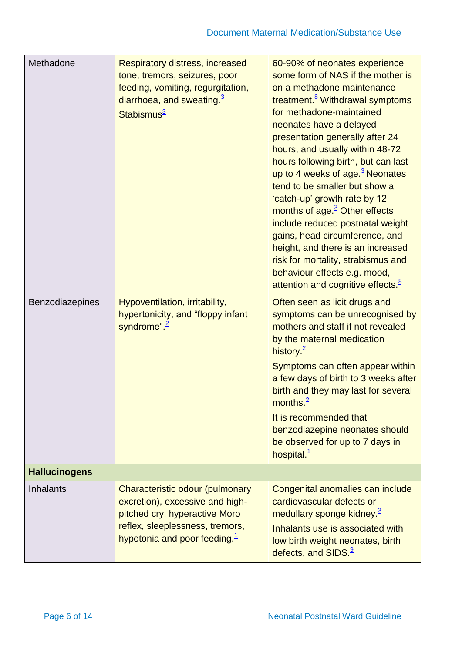| Methadone            | <b>Respiratory distress, increased</b><br>tone, tremors, seizures, poor<br>feeding, vomiting, regurgitation,<br>diarrhoea, and sweating. $3$<br>Stabismus <sup>3</sup>    | 60-90% of neonates experience<br>some form of NAS if the mother is<br>on a methadone maintenance<br>treatment. <sup>8</sup> Withdrawal symptoms<br>for methadone-maintained<br>neonates have a delayed<br>presentation generally after 24<br>hours, and usually within 48-72<br>hours following birth, but can last<br>up to 4 weeks of age. $3$ Neonates<br>tend to be smaller but show a<br>'catch-up' growth rate by 12<br>months of age. <sup>3</sup> Other effects<br>include reduced postnatal weight<br>gains, head circumference, and<br>height, and there is an increased<br>risk for mortality, strabismus and<br>behaviour effects e.g. mood,<br>attention and cognitive effects. <sup>8</sup> |
|----------------------|---------------------------------------------------------------------------------------------------------------------------------------------------------------------------|-----------------------------------------------------------------------------------------------------------------------------------------------------------------------------------------------------------------------------------------------------------------------------------------------------------------------------------------------------------------------------------------------------------------------------------------------------------------------------------------------------------------------------------------------------------------------------------------------------------------------------------------------------------------------------------------------------------|
| Benzodiazepines      | Hypoventilation, irritability,<br>hypertonicity, and "floppy infant<br>syndrome" $2$                                                                                      | Often seen as licit drugs and<br>symptoms can be unrecognised by<br>mothers and staff if not revealed<br>by the maternal medication<br>history. $\frac{2}{3}$<br>Symptoms can often appear within<br>a few days of birth to 3 weeks after<br>birth and they may last for several<br>months. $\frac{2}{3}$<br>It is recommended that<br>benzodiazepine neonates should<br>be observed for up to 7 days in<br>hospital. <sup>1</sup>                                                                                                                                                                                                                                                                        |
| <b>Hallucinogens</b> |                                                                                                                                                                           |                                                                                                                                                                                                                                                                                                                                                                                                                                                                                                                                                                                                                                                                                                           |
| <b>Inhalants</b>     | Characteristic odour (pulmonary<br>excretion), excessive and high-<br>pitched cry, hyperactive Moro<br>reflex, sleeplessness, tremors,<br>hypotonia and poor feeding. $1$ | Congenital anomalies can include<br>cardiovascular defects or<br>medullary sponge kidney. <sup>3</sup><br>Inhalants use is associated with<br>low birth weight neonates, birth<br>defects, and SIDS. <sup>9</sup>                                                                                                                                                                                                                                                                                                                                                                                                                                                                                         |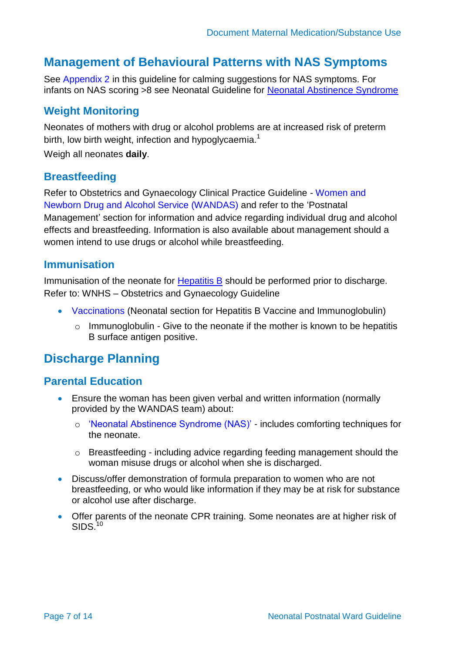## <span id="page-6-0"></span>**Management of Behavioural Patterns with NAS Symptoms**

See [Appendix 2](#page-12-0) in this guideline for calming suggestions for NAS symptoms. For infants on NAS scoring >8 see Neonatal Guideline for [Neonatal Abstinence Syndrome](https://cahs.health.wa.gov.au/~/media/HSPs/CAHS/Documents/Health-Professionals/Neonatology-guidelines/Neonatal-Abstinence-Syndrome.pdf?thn=0)

### <span id="page-6-1"></span>**Weight Monitoring**

Neonates of mothers with drug or alcohol problems are at increased risk of preterm birth, low birth weight, infection and hypoglycaemia.<sup>[1](#page-9-0)</sup>

Weigh all neonates **daily**.

#### <span id="page-6-2"></span>**Breastfeeding**

Refer to Obstetrics and Gynaecology Clinical Practice Guideline - [Women and](https://healthpoint.hdwa.health.wa.gov.au/policies/Policies/NMAHS/WNHS/WNHS.OG.WANDAS.pdf)  [Newborn Drug and Alcohol Service \(WANDAS\)](https://healthpoint.hdwa.health.wa.gov.au/policies/Policies/NMAHS/WNHS/WNHS.OG.WANDAS.pdf) and refer to the 'Postnatal Management' section for information and advice regarding individual drug and alcohol effects and breastfeeding. Information is also available about management should a women intend to use drugs or alcohol while breastfeeding.

#### <span id="page-6-3"></span>**Immunisation**

Immunisation of the neonate for [Hepatitis B](https://cahs.health.wa.gov.au/~/media/HSPs/CAHS/Documents/Health-Professionals/Neonatology-guidelines/Hepatitis-B-Virus-HBV-Care-of-the-infant-born-to-HBV-positive-woman.pdf?thn=0) should be performed prior to discharge. Refer to: WNHS – Obstetrics and Gynaecology Guideline

- [Vaccinations](https://healthpoint.hdwa.health.wa.gov.au/policies/Policies/NMAHS/WNHS/WNHS.OG.Vaccinations.pdf) (Neonatal section for Hepatitis B Vaccine and Immunoglobulin)
	- $\circ$  Immunoglobulin Give to the neonate if the mother is known to be hepatitis B surface antigen positive.

### <span id="page-6-4"></span>**Discharge Planning**

### <span id="page-6-5"></span>**Parental Education**

- Ensure the woman has been given verbal and written information (normally provided by the WANDAS team) about:
	- o ['Neonatal Abstinence Syndrome \(NAS\)'](http://kemh.health.wa.gov.au/brochures/consumers/wnhs0197.pdf) includes comforting techniques for the neonate.
	- o Breastfeeding including advice regarding feeding management should the woman misuse drugs or alcohol when she is discharged.
- Discuss/offer demonstration of formula preparation to women who are not breastfeeding, or who would like information if they may be at risk for substance or alcohol use after discharge.
- <span id="page-6-6"></span> Offer parents of the neonate CPR training. Some neonates are at higher risk of  $SIDS<sup>'10</sup>$  $SIDS<sup>'10</sup>$  $SIDS<sup>'10</sup>$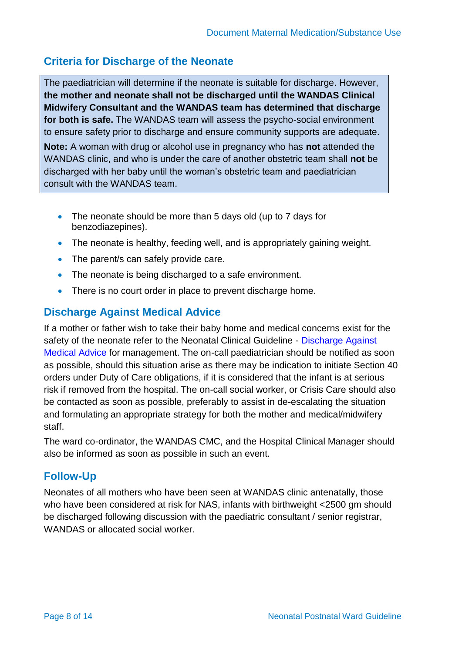### **Criteria for Discharge of the Neonate**

The paediatrician will determine if the neonate is suitable for discharge. However, **the mother and neonate shall not be discharged until the WANDAS Clinical Midwifery Consultant and the WANDAS team has determined that discharge for both is safe.** The WANDAS team will assess the psycho-social environment to ensure safety prior to discharge and ensure community supports are adequate.

**Note:** A woman with drug or alcohol use in pregnancy who has **not** attended the WANDAS clinic, and who is under the care of another obstetric team shall **not** be discharged with her baby until the woman's obstetric team and paediatrician consult with the WANDAS team.

- The neonate should be more than 5 days old (up to 7 days for benzodiazepines).
- The neonate is healthy, feeding well, and is appropriately gaining weight.
- The parent/s can safely provide care.
- The neonate is being discharged to a safe environment.
- There is no court order in place to prevent discharge home.

### <span id="page-7-0"></span>**Discharge Against Medical Advice**

If a mother or father wish to take their baby home and medical concerns exist for the safety of the neonate refer to the Neonatal Clinical Guideline - [Discharge Against](https://healthpoint.hdwa.health.wa.gov.au/policies/Policies/CAHS/CAHS.NEO.DischargeAgainstMedicalAdvice.pdf)  [Medical Advice](https://healthpoint.hdwa.health.wa.gov.au/policies/Policies/CAHS/CAHS.NEO.DischargeAgainstMedicalAdvice.pdf) for management. The on-call paediatrician should be notified as soon as possible, should this situation arise as there may be indication to initiate Section 40 orders under Duty of Care obligations, if it is considered that the infant is at serious risk if removed from the hospital. The on-call social worker, or Crisis Care should also be contacted as soon as possible, preferably to assist in de-escalating the situation and formulating an appropriate strategy for both the mother and medical/midwifery staff.

The ward co-ordinator, the WANDAS CMC, and the Hospital Clinical Manager should also be informed as soon as possible in such an event.

### <span id="page-7-1"></span>**Follow-Up**

Neonates of all mothers who have been seen at WANDAS clinic antenatally, those who have been considered at risk for NAS, infants with birthweight <2500 gm should be discharged following discussion with the paediatric consultant / senior registrar, WANDAS or allocated social worker.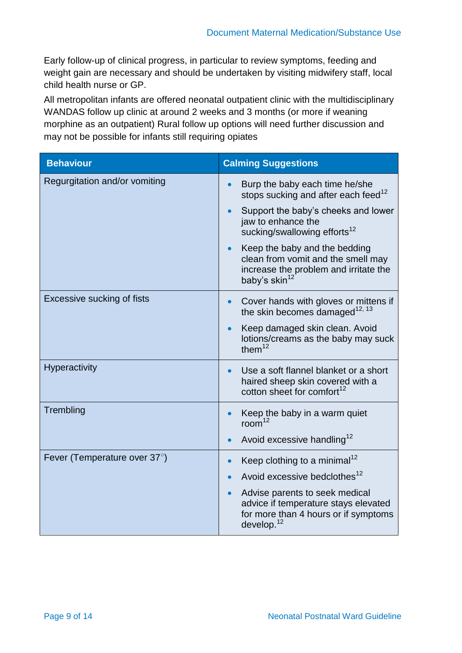Early follow-up of clinical progress, in particular to review symptoms, feeding and weight gain are necessary and should be undertaken by visiting midwifery staff, local child health nurse or GP.

All metropolitan infants are offered neonatal outpatient clinic with the multidisciplinary WANDAS follow up clinic at around 2 weeks and 3 months (or more if weaning morphine as an outpatient) Rural follow up options will need further discussion and may not be possible for infants still requiring opiates

| <b>Behaviour</b>              | <b>Calming Suggestions</b>                                                                                                                             |
|-------------------------------|--------------------------------------------------------------------------------------------------------------------------------------------------------|
| Regurgitation and/or vomiting | Burp the baby each time he/she<br>stops sucking and after each feed <sup>12</sup>                                                                      |
|                               | Support the baby's cheeks and lower<br>$\bullet$<br>jaw to enhance the<br>sucking/swallowing efforts <sup>12</sup>                                     |
|                               | Keep the baby and the bedding<br>$\bullet$<br>clean from vomit and the smell may<br>increase the problem and irritate the<br>baby's skin <sup>12</sup> |
| Excessive sucking of fists    | Cover hands with gloves or mittens if<br>$\bullet$<br>the skin becomes damaged <sup>12, 13</sup>                                                       |
|                               | Keep damaged skin clean. Avoid<br>$\bullet$<br>lotions/creams as the baby may suck<br>them $12$                                                        |
| <b>Hyperactivity</b>          | Use a soft flannel blanket or a short<br>$\bullet$<br>haired sheep skin covered with a<br>cotton sheet for comfort <sup>12</sup>                       |
| Trembling                     | Keep the baby in a warm quiet<br>$\bullet$<br>room <sup>12</sup>                                                                                       |
|                               | Avoid excessive handling <sup>12</sup><br>$\bullet$                                                                                                    |
| Fever (Temperature over 37°)  | Keep clothing to a minimal <sup>12</sup><br>$\bullet$                                                                                                  |
|                               | Avoid excessive bedclothes <sup>12</sup>                                                                                                               |
|                               | Advise parents to seek medical<br>$\bullet$<br>advice if temperature stays elevated<br>for more than 4 hours or if symptoms<br>develop. $12$           |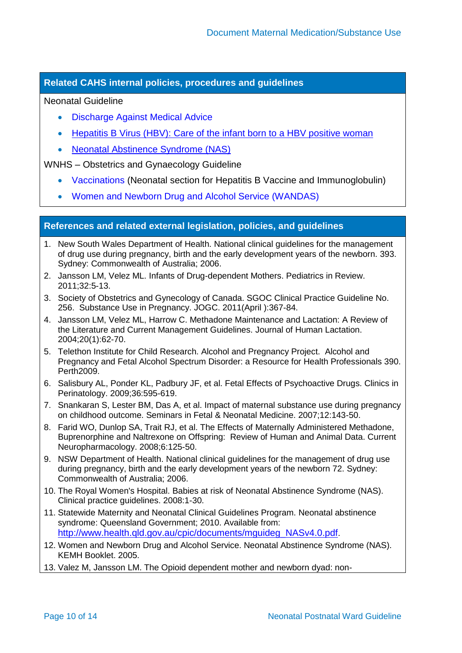#### **Related CAHS internal policies, procedures and guidelines**

#### Neonatal Guideline

- [Discharge Against Medical Advice](https://healthpoint.hdwa.health.wa.gov.au/policies/Policies/CAHS/CAHS.NEO.DischargeAgainstMedicalAdvice.pdf)
- [Hepatitis B Virus \(HBV\): Care of the infant born to a HBV positive woman](https://cahs.health.wa.gov.au/~/media/HSPs/CAHS/Documents/Health-Professionals/Neonatology-guidelines/Hepatitis-B-Virus-HBV-Care-of-the-infant-born-to-HBV-positive-woman.pdf?thn=0)
- [Neonatal Abstinence Syndrome \(NAS\)](https://cahs.health.wa.gov.au/~/media/HSPs/CAHS/Documents/Health-Professionals/Neonatology-guidelines/Neonatal-Abstinence-Syndrome.pdf?thn=0)

WNHS – Obstetrics and Gynaecology Guideline

- [Vaccinations](https://healthpoint.hdwa.health.wa.gov.au/policies/Policies/NMAHS/WNHS/WNHS.OG.Vaccinations.pdf) (Neonatal section for Hepatitis B Vaccine and Immunoglobulin)
- [Women and Newborn Drug and Alcohol Service \(WANDAS\)](https://healthpoint.hdwa.health.wa.gov.au/policies/Policies/NMAHS/WNHS/WNHS.OG.WANDAS.pdf)

#### **References and related external legislation, policies, and guidelines**

- <span id="page-9-0"></span>1. New South Wales Department of Health. National clinical guidelines for the management of drug use during pregnancy, birth and the early development years of the newborn. 393. Sydney: Commonwealth of Australia; 2006.
- <span id="page-9-1"></span>2. Jansson LM, Velez ML. Infants of Drug-dependent Mothers. Pediatrics in Review. 2011;32:5-13.
- <span id="page-9-2"></span>3. Society of Obstetrics and Gynecology of Canada. SGOC Clinical Practice Guideline No. 256. Substance Use in Pregnancy. JOGC. 2011(April ):367-84.
- <span id="page-9-3"></span>4. Jansson LM, Velez ML, Harrow C. Methadone Maintenance and Lactation: A Review of the Literature and Current Management Guidelines. Journal of Human Lactation. 2004;20(1):62-70.
- <span id="page-9-4"></span>5. Telethon Institute for Child Research. Alcohol and Pregnancy Project. Alcohol and Pregnancy and Fetal Alcohol Spectrum Disorder: a Resource for Health Professionals 390. Perth2009.
- <span id="page-9-5"></span>6. Salisbury AL, Ponder KL, Padbury JF, et al. Fetal Effects of Psychoactive Drugs. Clinics in Perinatology. 2009;36:595-619.
- <span id="page-9-6"></span>7. Snankaran S, Lester BM, Das A, et al. Impact of maternal substance use during pregnancy on childhood outcome. Seminars in Fetal & Neonatal Medicine. 2007;12:143-50.
- <span id="page-9-7"></span>8. Farid WO, Dunlop SA, Trait RJ, et al. The Effects of Maternally Administered Methadone, Buprenorphine and Naltrexone on Offspring: Review of Human and Animal Data. Current Neuropharmacology. 2008;6:125-50.
- <span id="page-9-8"></span>9. NSW Department of Health. National clinical guidelines for the management of drug use during pregnancy, birth and the early development years of the newborn 72. Sydney: Commonwealth of Australia; 2006.
- <span id="page-9-9"></span>10. The Royal Women's Hospital. Babies at risk of Neonatal Abstinence Syndrome (NAS). Clinical practice guidelines. 2008:1-30.
- <span id="page-9-12"></span>11. Statewide Maternity and Neonatal Clinical Guidelines Program. Neonatal abstinence syndrome: Queensland Government; 2010. Available from: [http://www.health.qld.gov.au/cpic/documents/mguideg\\_NASv4.0.pdf](http://www.health.qld.gov.au/cpic/documents/mguideg_NASv4.0.pdf).
- <span id="page-9-10"></span>12. Women and Newborn Drug and Alcohol Service. Neonatal Abstinence Syndrome (NAS). KEMH Booklet. 2005.
- <span id="page-9-11"></span>13. Valez M, Jansson LM. The Opioid dependent mother and newborn dyad: non-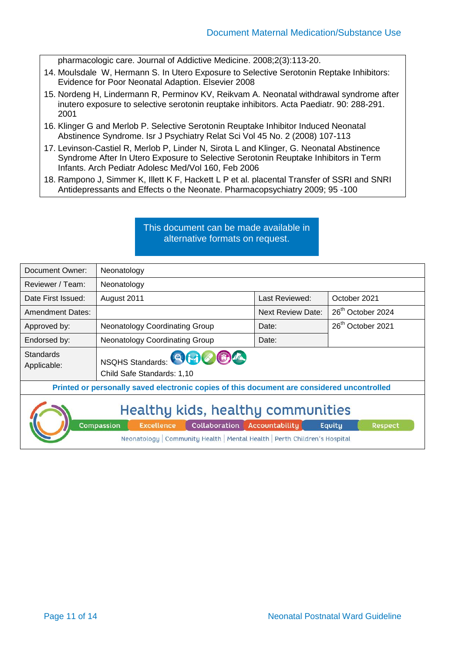pharmacologic care. Journal of Addictive Medicine. 2008;2(3):113-20.

- 14. Moulsdale W, Hermann S. In Utero Exposure to Selective Serotonin Reptake Inhibitors: Evidence for Poor Neonatal Adaption. Elsevier 2008
- 15. Nordeng H, Lindermann R, Perminov KV, Reikvam A. Neonatal withdrawal syndrome after inutero exposure to selective serotonin reuptake inhibitors. Acta Paediatr. 90: 288-291. 2001
- 16. Klinger G and Merlob P. Selective Serotonin Reuptake Inhibitor Induced Neonatal Abstinence Syndrome. Isr J Psychiatry Relat Sci Vol 45 No. 2 (2008) 107-113
- 17. Levinson-Castiel R, Merlob P, Linder N, Sirota L and Klinger, G. Neonatal Abstinence Syndrome After In Utero Exposure to Selective Serotonin Reuptake Inhibitors in Term Infants. Arch Pediatr Adolesc Med/Vol 160, Feb 2006
- 18. Rampono J, Simmer K, Illett K F, Hackett L P et al. placental Transfer of SSRI and SNRI Antidepressants and Effects o the Neonate. Pharmacopsychiatry 2009; 95 -100

#### This document can be made available in alternative formats on request.

| Document Owner:                                                                                                           | Neonatology                                          |                          |                               |
|---------------------------------------------------------------------------------------------------------------------------|------------------------------------------------------|--------------------------|-------------------------------|
| Reviewer / Team:                                                                                                          | Neonatology                                          |                          |                               |
| Date First Issued:                                                                                                        | August 2011                                          | Last Reviewed:           | October 2021                  |
| <b>Amendment Dates:</b>                                                                                                   |                                                      | <b>Next Review Date:</b> | 26 <sup>th</sup> October 2024 |
| Approved by:                                                                                                              | <b>Neonatology Coordinating Group</b>                | Date:                    | 26 <sup>th</sup> October 2021 |
| Endorsed by:                                                                                                              | <b>Neonatology Coordinating Group</b>                | Date:                    |                               |
| <b>Standards</b><br>Applicable:                                                                                           | NSQHS Standards: 80000<br>Child Safe Standards: 1,10 |                          |                               |
| Printed or personally saved electronic copies of this document are considered uncontrolled                                |                                                      |                          |                               |
| Healthy kids, healthy communities<br>Compassion<br>Collaboration Accountability<br><b>Excellence</b><br>Respect<br>Equity |                                                      |                          |                               |
| Neonatology   Community Health   Mental Health   Perth Children's Hospital                                                |                                                      |                          |                               |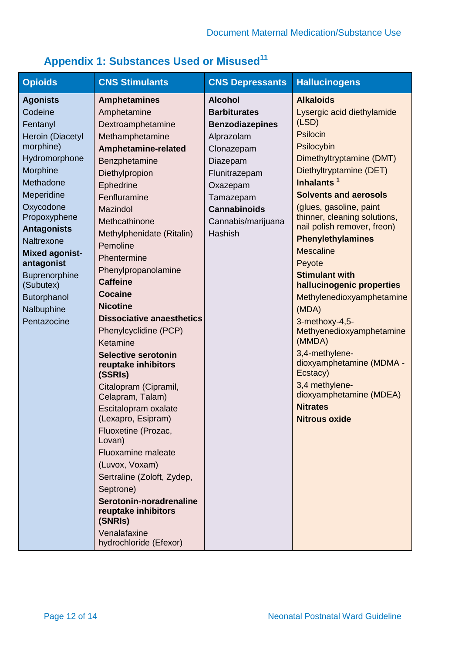<span id="page-11-0"></span>

|  | <b>Appendix 1: Substances Used or Misused<sup>11</sup></b> |  |  |
|--|------------------------------------------------------------|--|--|
|  |                                                            |  |  |

| <b>Opioids</b>            | <b>CNS Stimulants</b>                             | <b>CNS Depressants</b> | <b>Hallucinogens</b>                                    |
|---------------------------|---------------------------------------------------|------------------------|---------------------------------------------------------|
| <b>Agonists</b>           | <b>Amphetamines</b>                               | <b>Alcohol</b>         | <b>Alkaloids</b>                                        |
| Codeine                   | Amphetamine                                       | <b>Barbiturates</b>    | Lysergic acid diethylamide                              |
| Fentanyl                  | Dextroamphetamine                                 | <b>Benzodiazepines</b> | (LSD)                                                   |
| Heroin (Diacetyl          | Methamphetamine                                   | Alprazolam             | <b>Psilocin</b>                                         |
| morphine)                 | Amphetamine-related                               | Clonazepam             | Psilocybin                                              |
| Hydromorphone             | Benzphetamine                                     | Diazepam               | Dimethyltryptamine (DMT)                                |
| Morphine                  | Diethylpropion                                    | Flunitrazepam          | Diethyltryptamine (DET)                                 |
| Methadone                 | Ephedrine                                         | Oxazepam               | Inhalants <sup>1</sup>                                  |
| Meperidine                | Fenfluramine                                      | Tamazepam              | <b>Solvents and aerosols</b>                            |
| Oxycodone<br>Propoxyphene | <b>Mazindol</b>                                   | <b>Cannabinoids</b>    | (glues, gasoline, paint<br>thinner, cleaning solutions, |
| <b>Antagonists</b>        | Methcathinone                                     | Cannabis/marijuana     | nail polish remover, freon)                             |
| Naltrexone                | Methylphenidate (Ritalin)                         | Hashish                | <b>Phenylethylamines</b>                                |
| <b>Mixed agonist-</b>     | Pemoline                                          |                        | <b>Mescaline</b>                                        |
| antagonist                | Phentermine                                       |                        | Peyote                                                  |
| <b>Buprenorphine</b>      | Phenylpropanolamine                               |                        | <b>Stimulant with</b>                                   |
| (Subutex)                 | <b>Caffeine</b>                                   |                        | hallucinogenic properties                               |
| Butorphanol               | <b>Cocaine</b>                                    |                        | Methylenedioxyamphetamine                               |
| Nalbuphine                | <b>Nicotine</b>                                   |                        | (MDA)                                                   |
| Pentazocine               | <b>Dissociative anaesthetics</b>                  |                        | 3-methoxy-4,5-                                          |
|                           | Phenylcyclidine (PCP)                             |                        | Methyenedioxyamphetamine<br>(MMDA)                      |
|                           | Ketamine                                          |                        | 3,4-methylene-                                          |
|                           | <b>Selective serotonin</b><br>reuptake inhibitors |                        | dioxyamphetamine (MDMA -                                |
|                           | (SSRIs)                                           |                        | Ecstacy)                                                |
|                           | Citalopram (Cipramil,                             |                        | 3,4 methylene-                                          |
|                           | Celapram, Talam)                                  |                        | dioxyamphetamine (MDEA)                                 |
|                           | Escitalopram oxalate                              |                        | <b>Nitrates</b>                                         |
|                           | (Lexapro, Esipram)                                |                        | Nitrous oxide                                           |
|                           | Fluoxetine (Prozac,<br>Lovan)                     |                        |                                                         |
|                           | <b>Fluoxamine maleate</b>                         |                        |                                                         |
|                           | (Luvox, Voxam)                                    |                        |                                                         |
|                           | Sertraline (Zoloft, Zydep,                        |                        |                                                         |
|                           | Septrone)                                         |                        |                                                         |
|                           | Serotonin-noradrenaline                           |                        |                                                         |
|                           | reuptake inhibitors                               |                        |                                                         |
|                           | (SNRIs)                                           |                        |                                                         |
|                           | Venalafaxine                                      |                        |                                                         |
|                           | hydrochloride (Efexor)                            |                        |                                                         |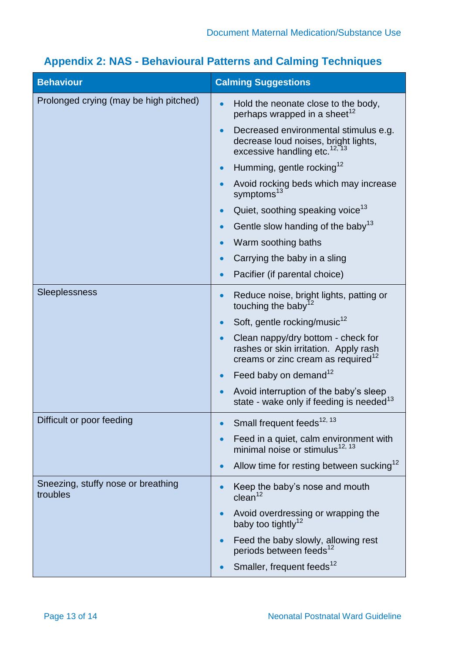| <b>Behaviour</b>                               | <b>Calming Suggestions</b>                                                                                                    |
|------------------------------------------------|-------------------------------------------------------------------------------------------------------------------------------|
| Prolonged crying (may be high pitched)         | Hold the neonate close to the body,<br>perhaps wrapped in a sheet <sup>12</sup>                                               |
|                                                | Decreased environmental stimulus e.g.<br>decrease loud noises, bright lights,<br>excessive handling etc. <sup>12, 13</sup>    |
|                                                | Humming, gentle rocking <sup>12</sup>                                                                                         |
|                                                | Avoid rocking beds which may increase<br>symptoms <sup>13</sup>                                                               |
|                                                | Quiet, soothing speaking voice <sup>13</sup>                                                                                  |
|                                                | Gentle slow handing of the baby <sup>13</sup>                                                                                 |
|                                                | Warm soothing baths                                                                                                           |
|                                                | Carrying the baby in a sling                                                                                                  |
|                                                | Pacifier (if parental choice)                                                                                                 |
| <b>Sleeplessness</b>                           | Reduce noise, bright lights, patting or<br>touching the baby <sup>1</sup>                                                     |
|                                                | Soft, gentle rocking/music <sup>12</sup>                                                                                      |
|                                                | Clean nappy/dry bottom - check for<br>rashes or skin irritation. Apply rash<br>creams or zinc cream as required <sup>12</sup> |
|                                                | Feed baby on demand <sup>12</sup>                                                                                             |
|                                                | Avoid interruption of the baby's sleep<br>state - wake only if feeding is needed <sup>13</sup>                                |
| Difficult or poor feeding                      | Small frequent feeds <sup>12, 13</sup>                                                                                        |
|                                                | Feed in a quiet, calm environment with<br>minimal noise or stimulus <sup>12, 13</sup>                                         |
|                                                | Allow time for resting between sucking <sup>12</sup><br>$\bullet$                                                             |
| Sneezing, stuffy nose or breathing<br>troubles | Keep the baby's nose and mouth<br>clean <sup>12</sup>                                                                         |
|                                                | Avoid overdressing or wrapping the<br>$\bullet$<br>baby too tightly <sup>12</sup>                                             |
|                                                | Feed the baby slowly, allowing rest<br>periods between feeds <sup>12</sup>                                                    |
|                                                | Smaller, frequent feeds <sup>12</sup>                                                                                         |

# <span id="page-12-1"></span><span id="page-12-0"></span>**[Appendix 2:](#page-12-1) NAS - Behavioural Patterns and Calming Techniques**